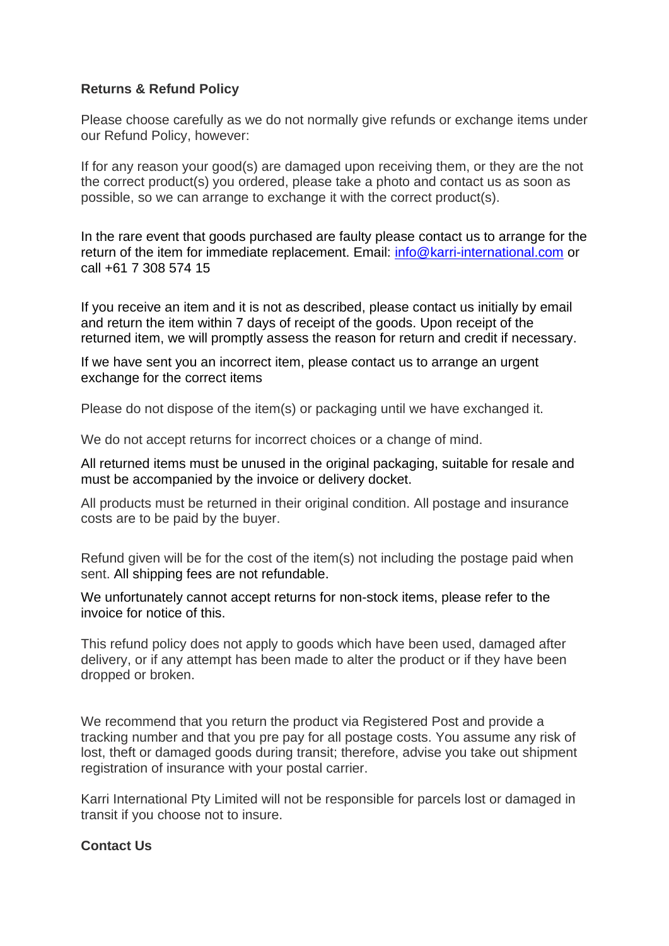## **Returns & Refund Policy**

Please choose carefully as we do not normally give refunds or exchange items under our Refund Policy, however:

If for any reason your good(s) are damaged upon receiving them, or they are the not the correct product(s) you ordered, please take a photo and contact us as soon as possible, so we can arrange to exchange it with the correct product(s).

In the rare event that goods purchased are faulty please contact us to arrange for the return of the item for immediate replacement. Email: [info@karri-international.com](mailto:info@karri-international.com) or call +61 7 308 574 15

If you receive an item and it is not as described, please contact us initially by email and return the item within 7 days of receipt of the goods. Upon receipt of the returned item, we will promptly assess the reason for return and credit if necessary.

If we have sent you an incorrect item, please contact us to arrange an urgent exchange for the correct items

Please do not dispose of the item(s) or packaging until we have exchanged it.

We do not accept returns for incorrect choices or a change of mind.

All returned items must be unused in the original packaging, suitable for resale and must be accompanied by the invoice or delivery docket.

All products must be returned in their original condition. All postage and insurance costs are to be paid by the buyer.

Refund given will be for the cost of the item(s) not including the postage paid when sent. All shipping fees are not refundable.

We unfortunately cannot accept returns for non-stock items, please refer to the invoice for notice of this.

This refund policy does not apply to goods which have been used, damaged after delivery, or if any attempt has been made to alter the product or if they have been dropped or broken.

We recommend that you return the product via Registered Post and provide a tracking number and that you pre pay for all postage costs. You assume any risk of lost, theft or damaged goods during transit; therefore, advise you take out shipment registration of insurance with your postal carrier.

Karri International Pty Limited will not be responsible for parcels lost or damaged in transit if you choose not to insure.

## **Contact Us**